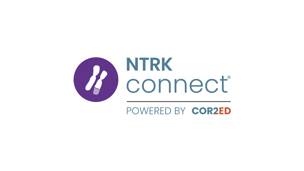

# POWERED BY COR2ED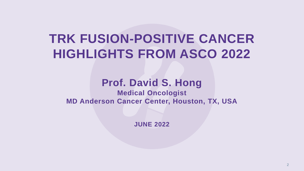# **TRK FUSION-POSITIVE CANCER HIGHLIGHTS FROM ASCO 2022**

## **Prof. David S. Hong Medical Oncologist MD Anderson Cancer Center, Houston, TX, USA**

**JUNE 2022**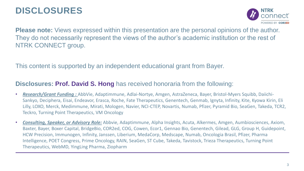# **DISCLOSURES**



**Please note:** Views expressed within this presentation are the personal opinions of the author. They do not necessarily represent the views of the author's academic institution or the rest of NTRK CONNECT group.

This content is supported by an independent educational grant from Bayer.

#### **Disclosures: Prof. David S. Hong** has received honoraria from the following:

- *Research/Grant Funding :* AbbVie, Adaptimmune, Adlai-Nortye, Amgen, AstraZeneca, Bayer, Bristol-Myers Squibb, Daiichi-Sankyo, Deciphera, Eisai, Endeavor, Erasca, Roche, Fate Therapeutics, Genentech, Genmab, Ignyta, Infinity, Kite, Kyowa Kirin, Eli Lilly, LOXO, Merck, Medimmune, Mirati, Mologen, Navier, NCI-CTEP, Novartis, Numab, Pfizer, Pyramid Bio, SeaGen, Takeda, TCR2, Teckro, Turning Point Therapeutics, VM Oncology
- *Consulting, Speaker, or Advisory Role:* Abbvie, Adaptimmune, Alpha Insights, Acuta, Alkermes, Amgen, Aumbiosciences, Axiom, Baxter, Bayer, Boxer Capital, BridgeBio, COR2ed, COG, Cowen, Ecor1, Gennao Bio, Genentech, Gilead, GLG, Group H, Guidepoint, HCW Precision, Immunogen, Infinity, Janssen, Liberium, MedaCorp, Medscape, Numab, Oncologia Brasil, Pfizer, Pharma Intelligence, POET Congress, Prime Oncology, RAIN, SeaGen, ST Cube, Takeda, Tavistock, Trieza Therapeutics, Turning Point Therapeutics, WebMD, YingLing Pharma, Ziopharm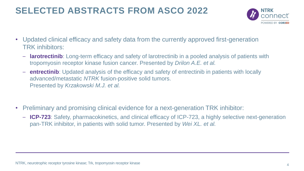# **SELECTED ABSTRACTS FROM ASCO 2022**



- Updated clinical efficacy and safety data from the currently approved first-generation TRK inhibitors:
	- **larotrectinib**: Long-term efficacy and safety of larotrectinib in a pooled analysis of patients with tropomyosin receptor kinase fusion cancer. Presented by *Drilon A.E. et al.*
	- **entrectinib**: Updated analysis of the efficacy and safety of entrectinib in patients with locally advanced/metastatic *NTRK* fusion-positive solid tumors. Presented by *Krzakowski M.J. et al.*
- Preliminary and promising clinical evidence for a next-generation TRK inhibitor:
	- **ICP-723**: Safety, pharmacokinetics, and clinical efficacy of ICP-723, a highly selective next-generation pan-TRK inhibitor, in patients with solid tumor. Presented by *Wei XL. et al.*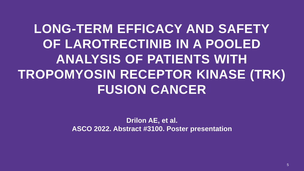**LONG-TERM EFFICACY AND SAFETY OF LAROTRECTINIB IN A POOLED ANALYSIS OF PATIENTS WITH TROPOMYOSIN RECEPTOR KINASE (TRK) FUSION CANCER**

> **Drilon AE, et al. ASCO 2022. Abstract #3100. Poster presentation**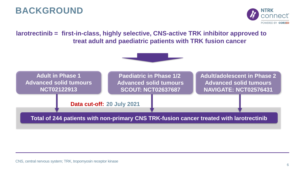# **BACKGROUND**



**larotrectinib = first-in-class, highly selective, CNS-active TRK inhibitor approved to treat adult and paediatric patients with TRK fusion cancer**



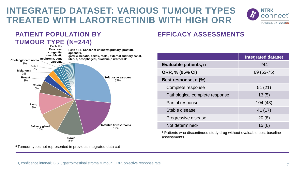# **INTEGRATED DATASET: VARIOUS TUMOUR TYPES TREATED WITH LAROTRECTINIB WITH HIGH ORR**



### **PATIENT POPULATION BY**



### **EFFICACY ASSESSMENTS**

|                                | <b>Integrated dataset</b> |  |  |  |
|--------------------------------|---------------------------|--|--|--|
| Evaluable patients, n          | 244                       |  |  |  |
| ORR, % (95% CI)                | 69 (63-75)                |  |  |  |
| Best response, n (%)           |                           |  |  |  |
| Complete response              | 51(21)                    |  |  |  |
| Pathological complete response | 13(5)                     |  |  |  |
| Partial response               | 104(43)                   |  |  |  |
| Stable disease                 | 41 (17)                   |  |  |  |
| Progressive disease            | 20(8)                     |  |  |  |
| Not determined <sup>b</sup>    | 15 (6)                    |  |  |  |

**b** Patients who discontinued study drug without evaluable post-baseline assessments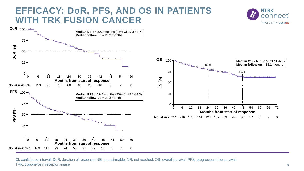## **EFFICACY: DoR, PFS, AND OS IN PATIENTS WITH TRK FUSION CANCER**





CI, confidence interval; DoR, duration of response; NE, not estimable; NR, not reached; OS, overall survival; PFS, progression-free survival; TRK, tropomyosin receptor kinase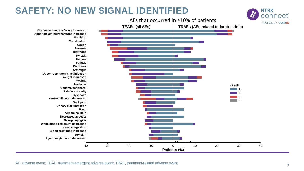# **SAFETY: NO NEW SIGNAL IDENTIFIED**



AE, adverse event; TEAE, treatment-emergent adverse event; TRAE, treatment-related adverse event

**NTRK**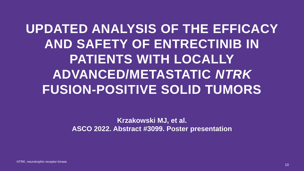**UPDATED ANALYSIS OF THE EFFICACY AND SAFETY OF ENTRECTINIB IN PATIENTS WITH LOCALLY ADVANCED/METASTATIC** *NTRK* **FUSION-POSITIVE SOLID TUMORS**

> **Krzakowski MJ, et al. ASCO 2022. Abstract #3099. Poster presentation**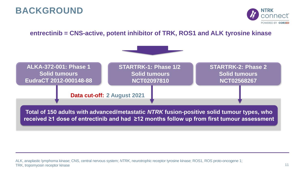## **BACKGROUND**



#### **entrectinib = CNS-active, potent inhibitor of TRK, ROS1 and ALK tyrosine kinase**

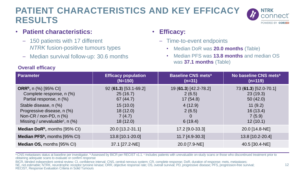# **PATIENT CHARACTERISTICS AND KEY EFFICACY RESULTS**



- **Patient characteristics:** 
	- 150 patients with 17 different *NTRK* fusion-positive tumours types
	- Median survival follow-up: 30.6 months
- **Efficacy:**
	- Time-to-event endpoints
		- Median DoR was **20.0 months** (Table)
		- Median PFS was **13.8 months** and median OS was **37.1 months** (Table)

| <b>Parameter</b>                                                                                                                                                                                                                                      | <b>Efficacy population</b><br>$(N=150)$                                                      | <b>Baseline CNS metsally</b><br>$(n=31)$                                    | No baseline CNS mets <sup>a</sup><br>$(n=119)$                                             |
|-------------------------------------------------------------------------------------------------------------------------------------------------------------------------------------------------------------------------------------------------------|----------------------------------------------------------------------------------------------|-----------------------------------------------------------------------------|--------------------------------------------------------------------------------------------|
| <b>ORR</b> <sup>b</sup> , n $\left(\% \right)$ [95% CI]<br>Complete response, n (%)<br>Partial response, n (%)<br>Stable disease, n (%)<br>Progressive disease, n (%)<br>Non-CR / non-PD, $n$ $(\%)$<br>Missing / unevaluable <sup>c</sup> , n $(\%)$ | $92(61.3)[53.1-69.2]$<br>25(16.7)<br>67 (44.7)<br>15(10.0)<br>18(12.0)<br>7(4.7)<br>18(12.0) | 19 (61.3) [42.2-78.2]<br>2(6.5)<br>17(54.8)<br>4(12.9)<br>2(6.5)<br>6(19.4) | 73 (61.3) [52.0-70.1]<br>23(19.3)<br>50(42.0)<br>11(9.2)<br>16(13.4)<br>7(5.9)<br>12(10.1) |
| <b>Median DoR</b> <sup>b</sup> , months $[95\% \text{ Cl}]$                                                                                                                                                                                           | 20.0 [13.2-31.1]                                                                             | 17.2 [9.0-33.3]                                                             | 20.0 [14.8-NE]                                                                             |
| Median PFS <sup>b</sup> , months [95% CI)                                                                                                                                                                                                             | 13.8 [10.1-20.0]                                                                             | 11.7 [4.9-30.3]                                                             | 13.8 [10.2-20.4]                                                                           |
| <b>Median OS, months [95% CI)</b>                                                                                                                                                                                                                     | 37.1 [27.2-NE]                                                                               | 20.0 [7.9-NE]                                                               | 40.5 [30.4-NE]                                                                             |

a CNS metastases status at baseline per investigator. <sup>b</sup> Assessed by BICR per RECIST v1.1. <sup>c</sup> Includes patients with unevaluable on-study scans or those who discontinued treatment prior to obtaining adequate scans to evaluate or confirm response

BICR, blinded independent central review; CI, confidence interval; CNS, central nervous system; CR, complete response; DoR, duration of response; mets, metastases; NE, not estimable; NTRK, neurotrophic receptor tyrosine kinase; ORR, objective response rate; OS, overall survival; PD, progressive disease; PFS, progression-free survival; RECIST, Response Evaluation Criteria in Solid Tumours

#### **Overall efficacy**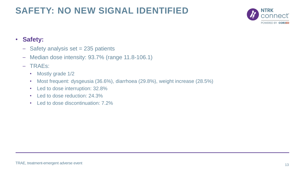# **SAFETY: NO NEW SIGNAL IDENTIFIED**



#### • **Safety:**

- $-$  Safety analysis set  $= 235$  patients
- Median dose intensity: 93.7% (range 11.8-106.1)
- TRAEs:
	- Mostly grade 1/2
	- Most frequent: dysgeusia (36.6%), diarrhoea (29.8%), weight increase (28.5%)
	- Led to dose interruption: 32.8%
	- Led to dose reduction: 24.3%
	- Led to dose discontinuation: 7.2%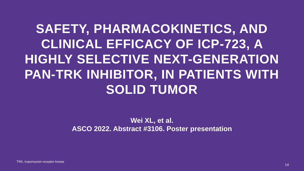# **SAFETY, PHARMACOKINETICS, AND CLINICAL EFFICACY OF ICP-723, A HIGHLY SELECTIVE NEXT-GENERATION PAN-TRK INHIBITOR, IN PATIENTS WITH SOLID TUMOR**

### **Wei XL, et al. ASCO 2022. Abstract #3106. Poster presentation**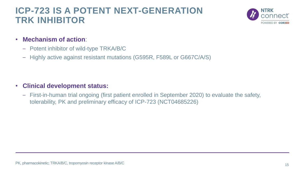# **ICP-723 IS A POTENT NEXT-GENERATION TRK INHIBITOR**



- **Mechanism of action**:
	- Potent inhibitor of wild-type TRKA/B/C
	- Highly active against resistant mutations (G595R, F589L or G667C/A/S)

- **Clinical development status:**
	- First-in-human trial ongoing (first patient enrolled in September 2020) to evaluate the safety, tolerability, PK and preliminary efficacy of ICP-723 (NCT04685226)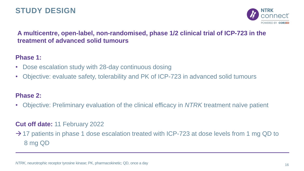## **STUDY DESIGN**



#### **A multicentre, open-label, non-randomised, phase 1/2 clinical trial of ICP-723 in the treatment of advanced solid tumours**

#### **Phase 1:**

- Dose escalation study with 28-day continuous dosing
- Objective: evaluate safety, tolerability and PK of ICP-723 in advanced solid tumours

#### **Phase 2:**

• Objective: Preliminary evaluation of the clinical efficacy in *NTRK* treatment naïve patient

#### **Cut off date:** 11 February 2022

 $\rightarrow$  17 patients in phase 1 dose escalation treated with ICP-723 at dose levels from 1 mg QD to 8 mg QD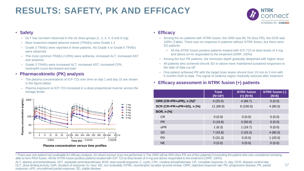# **RESULTS: SAFETY, PK AND EFFICACY**



#### • **Safety**

- DLT has not been observed in the six dose groups (1, 2, 3, 4, 6 and 8 mg)
- Most treatment-related adverse events (TRAEs) were Grade 1-2
- Grade 3 TRAEs were reported in three patients. No Grade 4 or Grade 5 TRAEs were observed
- The most common TRAEs (>20%) were asthenia, increased ALT, increased AST and anaemia
- Grade 3 TRAEs were increased ALT, increased AST, increased CPK, neutrophil count decreased and pain

#### • **Pharmacokinetic (PK) analysis**

- The plasma concentrations of ICP-723 over time on day 1 and day 15 are shown in the figure below
- Plasma exposure to ICP-723 increased in a dose proportional manner across the dosage levels



#### • **Efficacy**

- Among the six patients with *NTRK* fusion, the ORR was 66.7% (four PR), the DCR was 100% (Table). There was no response in patients without *NTRK* fusion, but there were SD patients
	- All the *NTRK* fusion positive patients treated with ICP-723 at dose levels of 4 mg and above (n=4) responded to the treatment (ORR: 100%)
- Among the four PR patients, the remission depth gradually deepened with higher dose
- All patients who achieved shrunk SD or above have maintained sustained responses to the date of data cut-off
- One patient achieved PR with the target brain lesion shrunk from 10 mm to 3 mm with 5 months DoR to date. The signal of oedema region markedly reduced after treatment

#### • **Efficacy assessment in** *NTRK* **fusion (+) patients**

|                                     | <b>Total</b><br>$(N=16^a)$ | <b>NTRK</b> fusion<br>$(+)$ (N=6) | <b>NTRK fusion (-)</b><br>$(N=6)$ |
|-------------------------------------|----------------------------|-----------------------------------|-----------------------------------|
| ORR (CR+PR+uPR), n (%) <sup>b</sup> | 4(25.0)                    | 4(66.7)                           | 0(0.0)                            |
| DCR (CR+PR+uPR+SD), n (%)           | 11(68.8)                   | 6(100.0)                          | 4(80.0)                           |
| <b>BOR, n (%)</b>                   |                            |                                   |                                   |
| <b>CR</b>                           | 0(0.0)                     | 0(0.0)                            | 0(0.0)                            |
| PR                                  | 3(18.8)                    | 3(50.0)                           | 0(0.0)                            |
| uPR                                 | 1(6.3)                     | 1(16.7)                           | 0(0.0)                            |
| <b>SD</b>                           | 7(43.8)                    | 2(33.3)                           | 4(80.0)                           |
| <b>PD</b>                           | 5(31.3)                    | 0(0.0)                            | 1(20.0)                           |
| <b>NE</b>                           | 0(0.0)                     | 0(0.0)                            | 0(0.0)                            |

<sup>a</sup> There was one patient non-evaluable for efficacy analysis, for whom tumour scan not performed. b The ORR will be 80% (four PR out of five patients) if excluding the patient who was considered not being able to form RNA fusion. All the NTRK fusion positive patients treated with ICP-723 at dose levels of 4 mg and above responded to the treatment (ORR: 100%)

ALT, alanine aminotransferase; AST, aspartate aminotransferase; BOR, best overall response; C, cycle; CPK, creatine phosphokinase; CR, complete response; D, day; DCR, disease control rate; DLT, dose-limiting toxicity; DoR, duration of response; hr, hour; NE, non evaluable; NTRK, neurotrophic receptor tyrosine kinase; ORR, objective response rate; PD, progressive disease; PR, partial response; uPR, unconfirmed partial response; SD, stable disease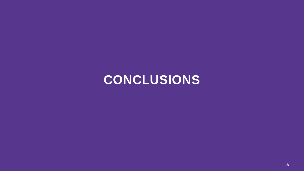# **CONCLUSIONS**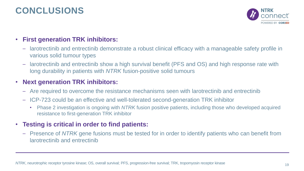# **CONCLUSIONS**



### • **First generation TRK inhibitors:**

- larotrectinib and entrectinib demonstrate a robust clinical efficacy with a manageable safety profile in various solid tumour types
- larotrectinib and entrectinib show a high survival benefit (PFS and OS) and high response rate with long durability in patients with *NTRK* fusion-positive solid tumours

#### • **Next generation TRK inhibitors:**

- Are required to overcome the resistance mechanisms seen with larotrectinib and entrectinib
- ICP-723 could be an effective and well-tolerated second-generation TRK inhibitor
	- Phase 2 investigation is ongoing with *NTRK* fusion positive patients, including those who developed acquired resistance to first-generation TRK inhibitor

#### • **Testing is critical in order to find patients:**

– Presence of *NTRK* gene fusions must be tested for in order to identify patients who can benefit from larotrectinib and entrectinib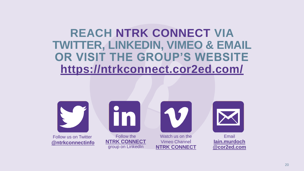# **REACH NTRK CONNECT VIA TWITTER, LINKEDIN, VIMEO & EMAIL OR VISIT THE GROUP'S WEBSITE <https://ntrkconnect.cor2ed.com/>**







**[NTRK CONNECT](https://vimeo.com/channels/1504488)**



Email **Iain.murdoch [@cor2ed.com](mailto:Iain.murdoch@cor2ed.com)**